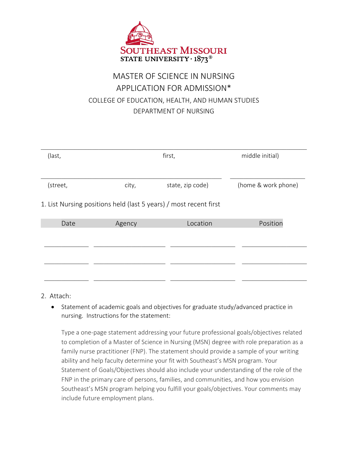

## MASTER OF SCIENCE IN NURSING APPLICATION FOR ADMISSION\* COLLEGE OF EDUCATION, HEALTH, AND HUMAN STUDIES DEPARTMENT OF NURSING

| (last,   |        | first,                                                            | middle initial)     |
|----------|--------|-------------------------------------------------------------------|---------------------|
| (street, | city,  | state, zip code)                                                  | (home & work phone) |
|          |        | 1. List Nursing positions held (last 5 years) / most recent first |                     |
| Date     | Agency | Location                                                          | Position            |
|          |        |                                                                   |                     |
|          |        |                                                                   |                     |
|          |        |                                                                   |                     |
|          |        |                                                                   |                     |

## 2. Attach:

 nursing. Instructions for the statement: • Statement of academic goals and objectives for graduate study/advanced practice in

Type a one-page statement addressing your future professional goals/objectives related to completion of a Master of Science in Nursing (MSN) degree with role preparation as a family nurse practitioner (FNP). The statement should provide a sample of your writing ability and help faculty determine your fit with Southeast's MSN program. Your Statement of Goals/Objectives should also include your understanding of the role of the FNP in the primary care of persons, families, and communities, and how you envision Southeast's MSN program helping you fulfill your goals/objectives. Your comments may include future employment plans.